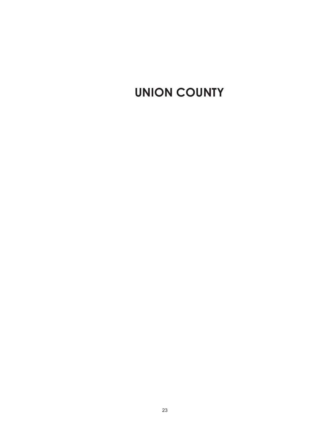# UNION COUNTY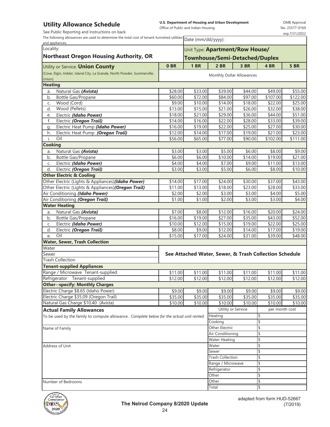## **Utility Allowance Schedule**

See Public Reporting and Instructions on back.

**U.S. Department of Housing and Urban Development**  Office of Public and Indian Housing

OMB Approval No. 25577-0169 exp.7/31/2022

٦

| The following allowances are used to determine the total cost of tenant-furnished utilities $\boxed{\text{Date}$ (mm/dd/yyyy): |  |
|--------------------------------------------------------------------------------------------------------------------------------|--|

| and appliances.                                                                           |                    |                                 | $\sim$ and $\sim$ $\sim$ $\sim$ $\sim$ $\sim$ $\sim$   |                    |                         |                    |  |  |
|-------------------------------------------------------------------------------------------|--------------------|---------------------------------|--------------------------------------------------------|--------------------|-------------------------|--------------------|--|--|
| Locality:                                                                                 |                    | Unit Type: Apartment/Row House/ |                                                        |                    |                         |                    |  |  |
| <b>Northeast Oregon Housing Authority, OR</b>                                             |                    |                                 | <b>Townhouse/Semi-Detached/Duplex</b>                  |                    |                         |                    |  |  |
|                                                                                           |                    |                                 |                                                        |                    |                         |                    |  |  |
| Utility or Service: <b>Union County</b>                                                   | 0 <sub>BR</sub>    | 1 <sub>BR</sub>                 | $2$ BR                                                 | 3 BR               | 4 BR                    | 5 BR               |  |  |
| (Cove, Elgin, Imbler, Island City, La Grande, North Powder, Summerville,                  |                    |                                 | Monthly Dollar Allowances                              |                    |                         |                    |  |  |
| Union)                                                                                    |                    |                                 |                                                        |                    |                         |                    |  |  |
| <b>Heating</b>                                                                            |                    |                                 |                                                        |                    |                         |                    |  |  |
| Natural Gas (Avista)<br>a.                                                                | \$28.00            | \$33.00                         | \$39.00                                                | \$44.00            | \$49.00                 | \$55.00            |  |  |
| b.<br>Bottle Gas/Propane                                                                  | \$60.00            | \$72.00                         | \$84.00                                                | \$97.00            | $\frac{1}{107.00}$      | \$122.00           |  |  |
| Wood (Cord)<br>C.                                                                         | \$9.00             | \$10.00                         | \$14.00                                                | \$18.00            | \$22.00                 | \$25.00            |  |  |
| Wood (Pellets)<br>d.                                                                      | \$13.00            | \$15.00                         | \$21.00                                                | \$26.00            | \$32.00                 | \$38.00            |  |  |
| Electric (Idaho Power)<br>e.<br>f.                                                        | \$18.00<br>\$14.00 | \$21.00<br>\$16.00              | \$29.00<br>\$22.00                                     | \$36.00<br>\$28.00 | \$44.00<br>\$33.00      | \$51.00<br>\$39.00 |  |  |
| Electric (Oregon Trail)<br>Electric Heat Pump (Idaho Power)                               | \$16.00            | \$19.00                         | \$22.00                                                | \$25.00            | \$27.00                 | \$30.00            |  |  |
| g.<br>Electric Heat Pump (Oregon Trail)<br>h.                                             | \$12.00            | \$14.00                         | \$17.00                                                | \$19.00            | \$21.00                 | \$23.00            |  |  |
| j.<br>Oil                                                                                 | \$56.00            | \$65.00                         | \$77.00                                                | \$90.00            | \$102.00                | \$111.00           |  |  |
| Cooking                                                                                   |                    |                                 |                                                        |                    |                         |                    |  |  |
| Natural Gas (Avista)                                                                      | \$3.00             | \$3.00                          | \$5.00                                                 | \$6.00             | \$8.00                  | \$9.00             |  |  |
| a.<br>Bottle Gas/Propane<br>b.                                                            | \$6.00             | \$6.00                          | \$10.00                                                | \$14.00            | $\overline{$}19.00$     | \$21.00            |  |  |
| Electric (Idaho Power)<br>C.                                                              | \$4.00             | \$4.00                          | \$7.00                                                 | \$9.00             | \$11.00                 | \$13.00            |  |  |
| d.<br>Electric (Oregon Trail)                                                             | \$3.00             | \$3.00                          | \$5.00                                                 | \$6.00             | \$8.00                  | \$10.00            |  |  |
| <b>Other Electric &amp; Cooling</b>                                                       |                    |                                 |                                                        |                    |                         |                    |  |  |
| Other Electric (Lights & Appliances)(Idaho Power)                                         | \$14.00            | \$17.00                         | \$24.00                                                | $\frac{1}{3}30.00$ | \$37.00                 | \$43.00            |  |  |
| Other Electric (Lights & Appliances) (Oregon Trail)                                       | \$11.00            | \$13.00                         | \$18.00                                                | \$23.00            | \$28.00                 | \$33.00            |  |  |
| Air Conditioning (Idaho Power)                                                            | \$2.00             | \$2.00                          | \$3.00                                                 | \$3.00             | \$4.00                  | \$5.00             |  |  |
| Air Conditioning (Oregon Trail)                                                           | \$1.00             | \$1.00                          | \$2.00                                                 | \$3.00             | \$3.00                  | \$4.00             |  |  |
| <b>Water Heating</b>                                                                      |                    |                                 |                                                        |                    |                         |                    |  |  |
| Natural Gas (Avista)<br>a.                                                                | \$7.00             | \$8.00                          | \$12.00                                                | \$16.00            | \$20.00                 | \$24.00            |  |  |
| Bottle Gas/Propane<br>b.                                                                  | \$16.00            | \$19.00                         | \$27.00                                                | \$35.00            | \$43.00                 | \$52.00            |  |  |
| Electric (Idaho Power)<br>C.                                                              | \$10.00            | \$12.00                         | \$15.00                                                | \$19.00            | \$22.00                 | \$25.00            |  |  |
| Electric (Oregon Trail)<br>d.                                                             | $\frac{1}{58.00}$  | \$9.00                          | \$12.00                                                | \$14.00            | \$17.00                 | \$19.00            |  |  |
| Oil<br>e.                                                                                 | \$15.00            | \$17.00                         | \$24.00                                                | \$31.00            | \$39.00                 | \$48.00            |  |  |
| <b>Water, Sewer, Trash Collection</b>                                                     |                    |                                 |                                                        |                    |                         |                    |  |  |
| Water                                                                                     |                    |                                 |                                                        |                    |                         |                    |  |  |
| Sewer                                                                                     |                    |                                 | See Attached Water, Sewer, & Trash Collection Schedule |                    |                         |                    |  |  |
| <b>Trash Collection</b>                                                                   |                    |                                 |                                                        |                    |                         |                    |  |  |
| <b>Tenant-supplied Appliances</b>                                                         |                    |                                 |                                                        |                    |                         |                    |  |  |
| Range / Microwave Tenant-supplied                                                         | \$11.00            | \$11.00                         | \$11.00                                                | \$11.00            | \$11.00                 | \$11.00            |  |  |
| Refrigerator Tenant-supplied                                                              | \$12.00            | \$12.00                         | \$12.00                                                | \$12.00            | \$12.00                 | \$12.00            |  |  |
| <b>Other--specify: Monthly Charges</b>                                                    |                    |                                 |                                                        |                    |                         |                    |  |  |
| Electric Charge \$8.65 (Idaho Power)                                                      | \$9.00             | \$9.00                          | \$9.00                                                 | \$9.00             | \$9.00                  | \$9.00             |  |  |
| Electric Charge \$35.09 (Oregon Trail)                                                    | \$35.00            | \$35.00                         | \$35.00                                                | \$35.00            | \$35.00                 | \$35.00            |  |  |
| Natural Gas Charge \$10.40 (Avista)                                                       | \$10.00            | \$10.00                         | \$10.00                                                | \$10.00            | \$10.00                 | \$10.00            |  |  |
| <b>Actual Family Allowances</b>                                                           |                    |                                 | Utility or Service                                     |                    | per month cost          |                    |  |  |
| To be used by the family to compute allowance. Complete below for the actual unit rented. |                    |                                 | Heating                                                |                    | \$                      |                    |  |  |
|                                                                                           |                    |                                 | Cooking                                                |                    | $\frac{1}{2}$           |                    |  |  |
| Name of Family                                                                            |                    |                                 | Other Electric                                         |                    | \$                      |                    |  |  |
|                                                                                           |                    |                                 | Air Conditioning                                       |                    | \$                      |                    |  |  |
|                                                                                           |                    |                                 | Water Heating                                          |                    | \$                      |                    |  |  |
| Address of Unit                                                                           |                    |                                 | Water                                                  |                    | \$                      |                    |  |  |
|                                                                                           |                    |                                 | Sewer                                                  |                    | $\overline{\mathsf{S}}$ |                    |  |  |
|                                                                                           |                    |                                 | <b>Trash Collection</b>                                |                    | \$                      |                    |  |  |
|                                                                                           |                    |                                 | Range / Microwave                                      |                    | \$                      |                    |  |  |
|                                                                                           |                    |                                 | Refrigerator                                           |                    | \$                      |                    |  |  |
|                                                                                           |                    |                                 | Other                                                  |                    | \$                      |                    |  |  |
| Number of Bedrooms                                                                        |                    |                                 | Other                                                  |                    | \$                      |                    |  |  |
|                                                                                           |                    |                                 | Total                                                  |                    | 1\$                     |                    |  |  |

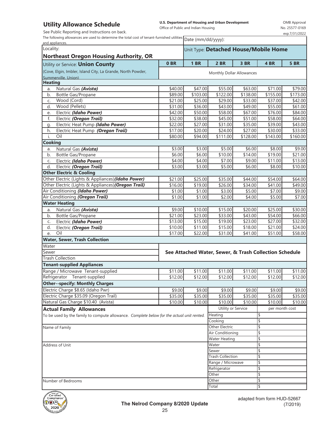### **Utility Allowance Schedule**

See Public Reporting and Instructions on back.

**U.S. Department of Housing and Urban Development**  Office of Public and Indian Housing

OMB Approval No. 25577-0169 exp.7/31/2022

The following allowances are used to determine the total cost of tenant-furnished utilities  $\boxed{\text{Date (mm/dd/yyy)}}$ 

| and appliances.                                                                           |                           |                                       | Date (min/du/yyyy).                                          |                     |                         |                  |  |  |
|-------------------------------------------------------------------------------------------|---------------------------|---------------------------------------|--------------------------------------------------------------|---------------------|-------------------------|------------------|--|--|
| Locality:                                                                                 |                           | Unit Type: Detached House/Mobile Home |                                                              |                     |                         |                  |  |  |
| <b>Northeast Oregon Housing Authority, OR</b>                                             |                           |                                       |                                                              |                     |                         |                  |  |  |
| Utility or Service: <b>Union County</b>                                                   | 0 <sub>BR</sub>           | <b>1 BR</b>                           | <b>2 BR</b>                                                  | 3 BR                | 4 BR                    | <b>5 BR</b>      |  |  |
| (Cove, Elgin, Imbler, Island City, La Grande, North Powder,                               |                           |                                       |                                                              |                     |                         |                  |  |  |
| Summerville, Union)                                                                       | Monthly Dollar Allowances |                                       |                                                              |                     |                         |                  |  |  |
| <b>Heating</b>                                                                            |                           |                                       |                                                              |                     |                         |                  |  |  |
| Natural Gas (Avista)<br>a.                                                                | \$40.00                   | \$47.00                               | \$55.00                                                      | \$63.00             | \$71.00                 | \$79.00          |  |  |
| b.<br>Bottle Gas/Propane                                                                  | \$89.00                   | \$103.00                              | \$122.00                                                     | \$138.00            | \$155.00                | \$173.00         |  |  |
| Wood (Cord)<br>C.                                                                         | \$21.00                   | \$25.00                               | \$29.00                                                      | \$33.00             | \$37.00                 | \$42.00          |  |  |
| Wood (Pellets)<br>d.                                                                      | \$31.00                   | \$36.00                               | \$43.00                                                      | \$49.00             | \$55.00                 | \$61.00          |  |  |
| Electric (Idaho Power)<br>e.                                                              | \$42.00                   | \$50.00                               | \$58.00                                                      | \$67.00             | \$76.00                 | \$84.00          |  |  |
| Electric (Oregon Trail)<br>f.                                                             | \$32.00                   | \$38.00                               | \$45.00                                                      | \$51.00             | \$58.00                 | \$64.00          |  |  |
| Electric Heat Pump (Idaho Power)<br>g.                                                    | \$22.00                   | \$27.00                               | \$31.00                                                      | \$35.00             | \$39.00                 | \$43.00          |  |  |
| Electric Heat Pump (Oregon Trail)<br>h.                                                   | \$17.00                   | \$20.00                               | \$24.00                                                      | \$27.00             | \$30.00                 | \$33.00          |  |  |
| Oil<br>i.                                                                                 | \$80.00                   | \$94.00                               | \$111.00                                                     | \$128.00            | \$143.00                | \$160.00         |  |  |
| <b>Cooking</b>                                                                            |                           |                                       |                                                              |                     |                         |                  |  |  |
| Natural Gas (Avista)<br>a.                                                                | \$3.00                    | \$3.00                                | \$5.00                                                       | \$6.00              | \$8.00                  | \$9.00           |  |  |
| b.<br>Bottle Gas/Propane                                                                  | \$6.00                    | \$6.00                                | \$10.00                                                      | \$14.00             | \$19.00                 | \$21.00          |  |  |
| Electric (Idaho Power)<br>C.                                                              | \$4.00                    | \$4.00                                | \$7.00                                                       | \$9.00              | \$11.00                 | \$13.00          |  |  |
| d.<br>Electric (Oregon Trail)                                                             | \$3.00                    | \$3.00                                | \$5.00                                                       | \$6.00              | \$8.00                  | \$10.00          |  |  |
| <b>Other Electric &amp; Cooling</b>                                                       |                           |                                       |                                                              |                     |                         |                  |  |  |
| Other Electric (Lights & Appliances)(Idaho Power)                                         | \$21.00                   | \$25.00                               | \$35.00                                                      | \$44.00             | \$54.00                 | \$64.00          |  |  |
| Other Electric (Lights & Appliances) (Oregon Trail)                                       | \$16.00                   | \$19.00                               | \$26.00<br>\$3.00                                            | \$34.00             | \$41.00<br>\$7.00       | \$49.00          |  |  |
| Air Conditioning (Idaho Power)<br>Air Conditioning (Oregon Trail)                         | \$1.00<br>\$1.00          | \$1.00<br>\$1.00                      | \$2.00                                                       | \$5.00<br>\$4.00    | \$5.00                  | \$9.00<br>\$7.00 |  |  |
| <b>Water Heating</b>                                                                      |                           |                                       |                                                              |                     |                         |                  |  |  |
| Natural Gas (Avista)                                                                      | \$9.00                    | \$10.00                               | \$15.00                                                      | \$20.00             | \$25.00                 | \$30.00          |  |  |
| a.<br>Bottle Gas/Propane<br>b.                                                            | \$21.00                   | \$23.00                               | \$33.00                                                      | \$43.00             | \$54.00                 | \$66.00          |  |  |
| Electric (Idaho Power)<br>C.                                                              | \$13.00                   | \$15.00                               | \$19.00                                                      | \$23.00             | \$27.00                 | \$32.00          |  |  |
| Electric (Oregon Trail)<br>d.                                                             | \$10.00                   | \$11.00                               | \$15.00                                                      | \$18.00             | \$21.00                 | \$24.00          |  |  |
| Oil<br>e.                                                                                 | \$17.00                   | \$22.00                               | \$31.00                                                      | \$41.00             | \$51.00                 | \$58.00          |  |  |
| <b>Water, Sewer, Trash Collection</b>                                                     |                           |                                       |                                                              |                     |                         |                  |  |  |
| Water                                                                                     |                           |                                       |                                                              |                     |                         |                  |  |  |
| Sewer                                                                                     |                           |                                       | See Attached Water, Sewer, & Trash Collection Schedule       |                     |                         |                  |  |  |
| <b>Trash Collection</b>                                                                   |                           |                                       |                                                              |                     |                         |                  |  |  |
| <b>Tenant-supplied Appliances</b>                                                         |                           |                                       |                                                              |                     |                         |                  |  |  |
| Range / Microwave Tenant-supplied                                                         | \$11.00                   | \$11.00                               | \$11.00                                                      | \$11.00             | \$11.00                 | \$11.00          |  |  |
| Refrigerator Tenant-supplied                                                              | \$12.00                   | \$12.00                               | \$12.00                                                      | \$12.00             | \$12.00                 | \$12.00          |  |  |
| <b>Other--specify: Monthly Charges</b>                                                    |                           |                                       |                                                              |                     |                         |                  |  |  |
| Electric Charge \$8.65 (Idaho Pwr)                                                        | \$9.00                    | \$9.00                                | \$9.00                                                       | \$9.00              | \$9.00                  | \$9.00           |  |  |
| Electric Charge \$35.09 (Oregon Trail)                                                    | \$35.00                   | \$35.00                               | \$35.00                                                      | \$35.00             | \$35.00                 | \$35.00          |  |  |
| Natural Gas Charge \$10.40 (Avista)                                                       | \$10.00                   | \$10.00                               | \$10.00                                                      | $\overline{$}10.00$ | \$10.00                 | \$10.00          |  |  |
| <b>Actual Family Allowances</b>                                                           |                           |                                       | Utility or Service                                           |                     | per month cost          |                  |  |  |
| To be used by the family to compute allowance. Complete below for the actual unit rented. |                           |                                       | Heating                                                      |                     | \$                      |                  |  |  |
|                                                                                           |                           |                                       | Cooking                                                      |                     | $\overline{\mathsf{S}}$ |                  |  |  |
| Name of Family                                                                            |                           |                                       | Other Electric                                               |                     | \$                      |                  |  |  |
|                                                                                           |                           |                                       | Air Conditioning                                             |                     | \$                      |                  |  |  |
|                                                                                           |                           |                                       | <b>Water Heating</b><br>\$                                   |                     |                         |                  |  |  |
| Address of Unit                                                                           |                           |                                       | Water<br>\$                                                  |                     |                         |                  |  |  |
|                                                                                           |                           |                                       | Sewer                                                        |                     | $\overline{\mathsf{S}}$ |                  |  |  |
|                                                                                           |                           |                                       | <b>Trash Collection</b><br>Range / Microwave<br>Refrigerator |                     | \$                      |                  |  |  |
|                                                                                           |                           |                                       |                                                              |                     | \$                      |                  |  |  |
|                                                                                           |                           |                                       |                                                              |                     | \$                      |                  |  |  |
|                                                                                           |                           |                                       | Other                                                        |                     | \$                      |                  |  |  |
| Number of Bedrooms                                                                        |                           |                                       | Other                                                        |                     | 1\$                     |                  |  |  |
|                                                                                           |                           |                                       | <b>Total</b>                                                 |                     | 1\$                     |                  |  |  |